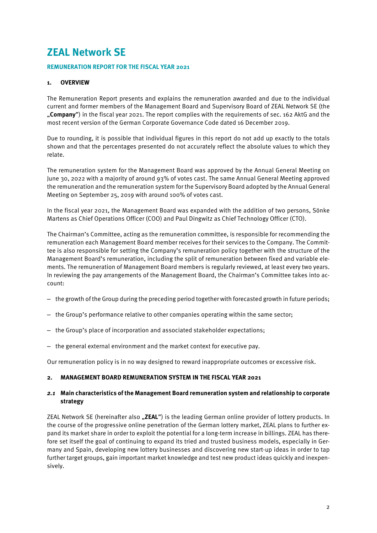# **ZEAL Network SE**

## **REMUNERATION REPORT FOR THE FISCAL YEAR 2021**

# **1. OVERVIEW**

The Remuneration Report presents and explains the remuneration awarded and due to the individual current and former members of the Management Board and Supervisory Board of ZEAL Network SE (the "**Company**") in the fiscal year 2021. The report complies with the requirements of sec. 162 AktG and the most recent version of the German Corporate Governance Code dated 16 December 2019.

Due to rounding, it is possible that individual figures in this report do not add up exactly to the totals shown and that the percentages presented do not accurately reflect the absolute values to which they relate.

The remuneration system for the Management Board was approved by the Annual General Meeting on June 30, 2022 with a majority of around 93% of votes cast. The same Annual General Meeting approved the remuneration and the remuneration system for the Supervisory Board adopted by the Annual General Meeting on September 25, 2019 with around 100% of votes cast.

In the fiscal year 2021, the Management Board was expanded with the addition of two persons, Sönke Martens as Chief Operations Officer (COO) and Paul Dingwitz as Chief Technology Officer (CTO).

The Chairman's Committee, acting as the remuneration committee, is responsible for recommending the remuneration each Management Board member receives for their services to the Company. The Committee is also responsible for setting the Company's remuneration policy together with the structure of the Management Board's remuneration, including the split of remuneration between fixed and variable elements. The remuneration of Management Board members is regularly reviewed, at least every two years. In reviewing the pay arrangements of the Management Board, the Chairman's Committee takes into account:

- the growth of the Group during the preceding period together with forecasted growth in future periods;
- the Group's performance relative to other companies operating within the same sector;
- the Group's place of incorporation and associated stakeholder expectations;
- the general external environment and the market context for executive pay.

Our remuneration policy is in no way designed to reward inappropriate outcomes or excessive risk.

#### **2. MANAGEMENT BOARD REMUNERATION SYSTEM IN THE FISCAL YEAR 2021**

## *2.1* **Main characteristics of the Management Board remuneration system and relationship to corporate strategy**

ZEAL Network SE (hereinafter also "ZEAL") is the leading German online provider of lottery products. In the course of the progressive online penetration of the German lottery market, ZEAL plans to further expand its market share in order to exploit the potential for a long-term increase in billings. ZEAL has therefore set itself the goal of continuing to expand its tried and trusted business models, especially in Germany and Spain, developing new lottery businesses and discovering new start-up ideas in order to tap further target groups, gain important market knowledge and test new product ideas quickly and inexpensively.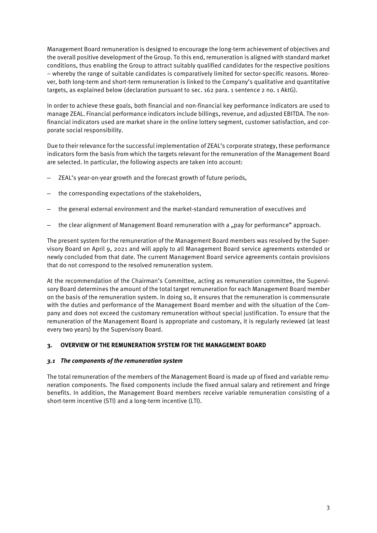Management Board remuneration is designed to encourage the long-term achievement of objectives and the overall positive development of the Group. To this end, remuneration is aligned with standard market conditions, thus enabling the Group to attract suitably qualified candidates for the respective positions – whereby the range of suitable candidates is comparatively limited for sector-specific reasons. Moreover, both long-term and short-term remuneration is linked to the Company's qualitative and quantitative targets, as explained below (declaration pursuant to sec. 162 para. 1 sentence 2 no. 1 AktG).

In order to achieve these goals, both financial and non-financial key performance indicators are used to manage ZEAL. Financial performance indicators include billings, revenue, and adjusted EBITDA. The nonfinancial indicators used are market share in the online lottery segment, customer satisfaction, and corporate social responsibility.

Due to their relevance for the successful implementation of ZEAL's corporate strategy, these performance indicators form the basis from which the targets relevant for the remuneration of the Management Board are selected. In particular, the following aspects are taken into account:

- ZEAL's year-on-year growth and the forecast growth of future periods,
- the corresponding expectations of the stakeholders,
- the general external environment and the market-standard remuneration of executives and
- the clear alignment of Management Board remuneration with a "pay for performance" approach.

The present system for the remuneration of the Management Board members was resolved by the Supervisory Board on April 9, 2021 and will apply to all Management Board service agreements extended or newly concluded from that date. The current Management Board service agreements contain provisions that do not correspond to the resolved remuneration system.

At the recommendation of the Chairman's Committee, acting as remuneration committee, the Supervisory Board determines the amount of the total target remuneration for each Management Board member on the basis of the remuneration system. In doing so, it ensures that the remuneration is commensurate with the duties and performance of the Management Board member and with the situation of the Company and does not exceed the customary remuneration without special justification. To ensure that the remuneration of the Management Board is appropriate and customary, it is regularly reviewed (at least every two years) by the Supervisory Board.

#### **3. OVERVIEW OF THE REMUNERATION SYSTEM FOR THE MANAGEMENT BOARD**

#### *3.1 The components of the remuneration system*

The total remuneration of the members of the Management Board is made up of fixed and variable remuneration components. The fixed components include the fixed annual salary and retirement and fringe benefits. In addition, the Management Board members receive variable remuneration consisting of a short-term incentive (STI) and a long-term incentive (LTI).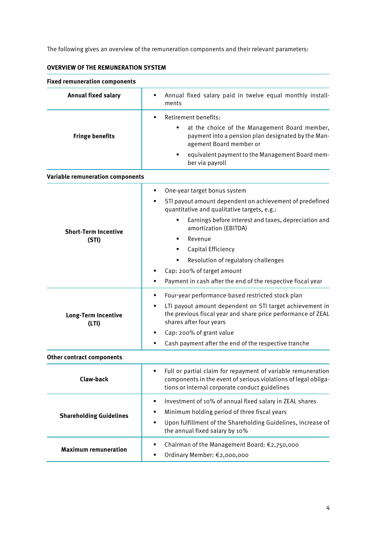The following gives an overview of the remuneration components and their relevant parameters:

| <b>Fixed remuneration components</b> |                                                                                                                                                                                                                                                                                                                                                                                                                                  |
|--------------------------------------|----------------------------------------------------------------------------------------------------------------------------------------------------------------------------------------------------------------------------------------------------------------------------------------------------------------------------------------------------------------------------------------------------------------------------------|
| <b>Annual fixed salary</b>           | Annual fixed salary paid in twelve equal monthly install-<br>٠<br>ments                                                                                                                                                                                                                                                                                                                                                          |
| <b>Fringe benefits</b>               | Retirement benefits:<br>٠<br>at the choice of the Management Board member,<br>٠<br>payment into a pension plan designated by the Man-<br>agement Board member or<br>equivalent payment to the Management Board mem-<br>٠<br>ber via payroll                                                                                                                                                                                      |
| Variable remuneration components     |                                                                                                                                                                                                                                                                                                                                                                                                                                  |
| <b>Short-Term Incentive</b><br>(STI) | One-year target bonus system<br>٠<br>STI payout amount dependent on achievement of predefined<br>٠<br>quantitative and qualitative targets, e.g.:<br>Earnings before interest and taxes, depreciation and<br>٠<br>amortization (EBITDA)<br>Revenue<br>٠<br>Capital Efficiency<br>٠<br>Resolution of regulatory challenges<br>Cap: 200% of target amount<br>٠<br>Payment in cash after the end of the respective fiscal year<br>٠ |
| Long-Term Incentive<br>(LTI)         | Four-year performance-based restricted stock plan<br>٠<br>LTI payout amount dependent on STI target achievement in<br>٠<br>the previous fiscal year and share price performance of ZEAL<br>shares after four years<br>Cap: 200% of grant value<br>٠<br>Cash payment after the end of the respective tranche<br>٠                                                                                                                 |
| <b>Other contract components</b>     |                                                                                                                                                                                                                                                                                                                                                                                                                                  |
| <b>Claw-back</b>                     | Full or partial claim for repayment of variable remuneration<br>٠<br>components in the event of serious violations of legal obliga-<br>tions or internal corporate conduct guidelines                                                                                                                                                                                                                                            |
| <b>Shareholding Guidelines</b>       | Investment of 10% of annual fixed salary in ZEAL shares<br>٠<br>Minimum holding period of three fiscal years<br>٠<br>Upon fulfillment of the Shareholding Guidelines, increase of<br>٠<br>the annual fixed salary by 10%                                                                                                                                                                                                         |
| <b>Maximum remuneration</b>          | Chairman of the Management Board: €2,750,000<br>٠<br>Ordinary Member: €2,000,000<br>٠                                                                                                                                                                                                                                                                                                                                            |

# **OVERVIEW OF THE REMUNERATION SYSTEM**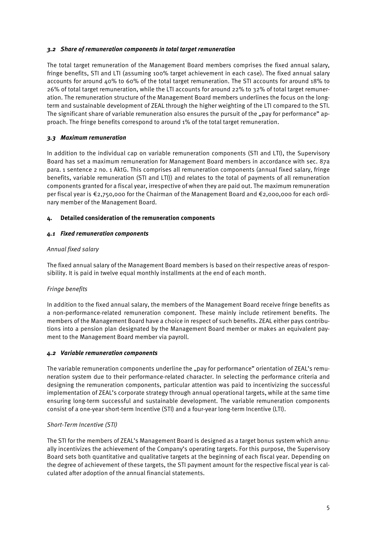## *3.2 Share of remuneration components in total target remuneration*

The total target remuneration of the Management Board members comprises the fixed annual salary, fringe benefits, STI and LTI (assuming 100% target achievement in each case). The fixed annual salary accounts for around 40% to 60% of the total target remuneration. The STI accounts for around 18% to 26% of total target remuneration, while the LTI accounts for around 22% to 32% of total target remuneration. The remuneration structure of the Management Board members underlines the focus on the longterm and sustainable development of ZEAL through the higher weighting of the LTI compared to the STI. The significant share of variable remuneration also ensures the pursuit of the "pay for performance" approach. The fringe benefits correspond to around 1% of the total target remuneration.

# *3.3 Maximum remuneration*

In addition to the individual cap on variable remuneration components (STI and LTI), the Supervisory Board has set a maximum remuneration for Management Board members in accordance with sec. 87a para. 1 sentence 2 no. 1 AktG. This comprises all remuneration components (annual fixed salary, fringe benefits, variable remuneration (STI and LTI)) and relates to the total of payments of all remuneration components granted for a fiscal year, irrespective of when they are paid out. The maximum remuneration per fiscal year is €2,750,000 for the Chairman of the Management Board and €2,000,000 for each ordinary member of the Management Board.

# **4. Detailed consideration of the remuneration components**

# *4.1 Fixed remuneration components*

# *Annual fixed salary*

The fixed annual salary of the Management Board members is based on their respective areas of responsibility. It is paid in twelve equal monthly installments at the end of each month.

# *Fringe benefits*

In addition to the fixed annual salary, the members of the Management Board receive fringe benefits as a non-performance-related remuneration component. These mainly include retirement benefits. The members of the Management Board have a choice in respect of such benefits. ZEAL either pays contributions into a pension plan designated by the Management Board member or makes an equivalent payment to the Management Board member via payroll.

# *4.2 Variable remuneration components*

The variable remuneration components underline the "pay for performance" orientation of ZEAL's remuneration system due to their performance-related character. In selecting the performance criteria and designing the remuneration components, particular attention was paid to incentivizing the successful implementation of ZEAL's corporate strategy through annual operational targets, while at the same time ensuring long-term successful and sustainable development. The variable remuneration components consist of a one-year short-term Incentive (STI) and a four-year long-term Incentive (LTI).

# *Short-Term Incentive (STI)*

The STI for the members of ZEAL's Management Board is designed as a target bonus system which annually incentivizes the achievement of the Company's operating targets. For this purpose, the Supervisory Board sets both quantitative and qualitative targets at the beginning of each fiscal year. Depending on the degree of achievement of these targets, the STI payment amount for the respective fiscal year is calculated after adoption of the annual financial statements.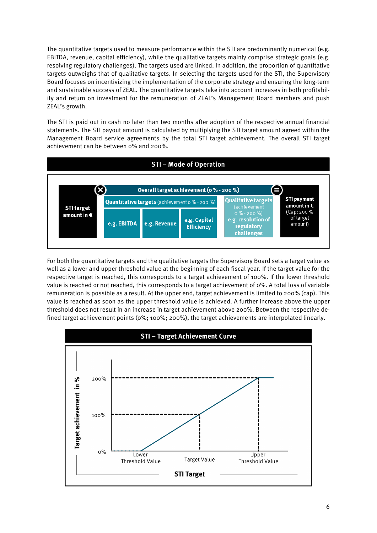The quantitative targets used to measure performance within the STI are predominantly numerical (e.g. EBITDA, revenue, capital efficiency), while the qualitative targets mainly comprise strategic goals (e.g. resolving regulatory challenges). The targets used are linked. In addition, the proportion of quantitative targets outweighs that of qualitative targets. In selecting the targets used for the STI, the Supervisory Board focuses on incentivizing the implementation of the corporate strategy and ensuring the long-term and sustainable success of ZEAL. The quantitative targets take into account increases in both profitability and return on investment for the remuneration of ZEAL's Management Board members and push ZEAL's growth.

The STI is paid out in cash no later than two months after adoption of the respective annual financial statements. The STI payout amount is calculated by multiplying the STI target amount agreed within the Management Board service agreements by the total STI target achievement. The overall STI target achievement can be between 0% and 200%.



For both the quantitative targets and the qualitative targets the Supervisory Board sets a target value as well as a lower and upper threshold value at the beginning of each fiscal year. If the target value for the respective target is reached, this corresponds to a target achievement of 100%. If the lower threshold value is reached or not reached, this corresponds to a target achievement of 0%. A total loss of variable remuneration is possible as a result. At the upper end, target achievement is limited to 200% (cap). This value is reached as soon as the upper threshold value is achieved. A further increase above the upper threshold does not result in an increase in target achievement above 200%. Between the respective defined target achievement points (0%; 100%; 200%), the target achievements are interpolated linearly.

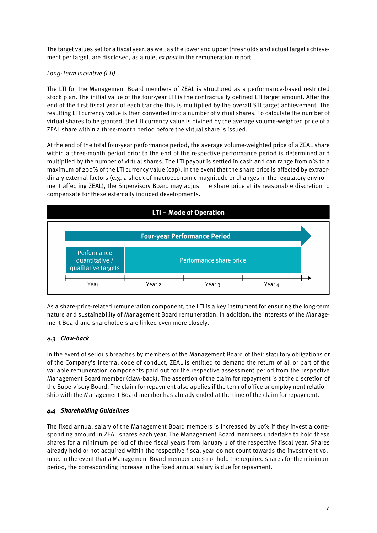The target values set for a fiscal year, as well as the lower and upper thresholds and actual target achievement per target, are disclosed, as a rule, *ex post* in the remuneration report.

# *Long-Term Incentive (LTI)*

The LTI for the Management Board members of ZEAL is structured as a performance-based restricted stock plan. The initial value of the four-year LTI is the contractually defined LTI target amount. After the end of the first fiscal year of each tranche this is multiplied by the overall STI target achievement. The resulting LTI currency value is then converted into a number of virtual shares. To calculate the number of virtual shares to be granted, the LTI currency value is divided by the average volume-weighted price of a ZEAL share within a three-month period before the virtual share is issued.

At the end of the total four-year performance period, the average volume-weighted price of a ZEAL share within a three-month period prior to the end of the respective performance period is determined and multiplied by the number of virtual shares. The LTI payout is settled in cash and can range from 0% to a maximum of 200% of the LTI currency value (cap). In the event that the share price is affected by extraordinary external factors (e.g. a shock of macroeconomic magnitude or changes in the regulatory environment affecting ZEAL), the Supervisory Board may adjust the share price at its reasonable discretion to compensate for these externally induced developments.



As a share-price-related remuneration component, the LTI is a key instrument for ensuring the long-term nature and sustainability of Management Board remuneration. In addition, the interests of the Management Board and shareholders are linked even more closely.

#### *4.3 Claw-back*

In the event of serious breaches by members of the Management Board of their statutory obligations or of the Company's internal code of conduct, ZEAL is entitled to demand the return of all or part of the variable remuneration components paid out for the respective assessment period from the respective Management Board member (claw-back). The assertion of the claim for repayment is at the discretion of the Supervisory Board. The claim for repayment also applies if the term of office or employment relationship with the Management Board member has already ended at the time of the claim for repayment.

#### *4.4 Shareholding Guidelines*

The fixed annual salary of the Management Board members is increased by 10% if they invest a corresponding amount in ZEAL shares each year. The Management Board members undertake to hold these shares for a minimum period of three fiscal years from January 1 of the respective fiscal year. Shares already held or not acquired within the respective fiscal year do not count towards the investment volume. In the event that a Management Board member does not hold the required shares for the minimum period, the corresponding increase in the fixed annual salary is due for repayment.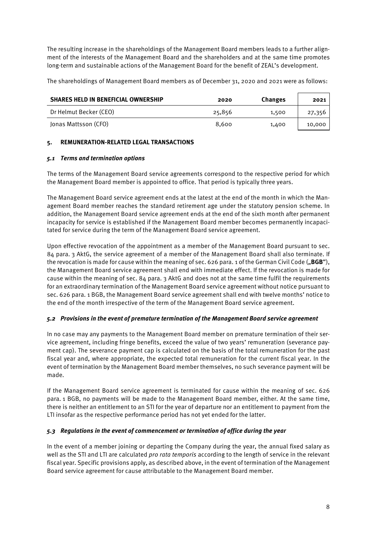The resulting increase in the shareholdings of the Management Board members leads to a further alignment of the interests of the Management Board and the shareholders and at the same time promotes long-term and sustainable actions of the Management Board for the benefit of ZEAL's development.

The shareholdings of Management Board members as of December 31, 2020 and 2021 were as follows:

| <b>SHARES HELD IN BENEFICIAL OWNERSHIP</b> | 2020   | Changes | 2021   |
|--------------------------------------------|--------|---------|--------|
| Dr Helmut Becker (CEO)                     | 25,856 | 1,500   | 27,356 |
| Jonas Mattsson (CFO)                       | 8.600  | 1,400   | 10,000 |

# **5. REMUNERATION-RELATED LEGAL TRANSACTIONS**

## *5.1 Terms and termination options*

The terms of the Management Board service agreements correspond to the respective period for which the Management Board member is appointed to office. That period is typically three years.

The Management Board service agreement ends at the latest at the end of the month in which the Management Board member reaches the standard retirement age under the statutory pension scheme. In addition, the Management Board service agreement ends at the end of the sixth month after permanent incapacity for service is established if the Management Board member becomes permanently incapacitated for service during the term of the Management Board service agreement.

Upon effective revocation of the appointment as a member of the Management Board pursuant to sec. 84 para. 3 AktG, the service agreement of a member of the Management Board shall also terminate. If the revocation is made for cause within the meaning of sec. 626 para. 1 of the German Civil Code ("**BGB**"), the Management Board service agreement shall end with immediate effect. If the revocation is made for cause within the meaning of sec. 84 para. 3 AktG and does not at the same time fulfil the requirements for an extraordinary termination of the Management Board service agreement without notice pursuant to sec. 626 para. 1 BGB, the Management Board service agreement shall end with twelve months' notice to the end of the month irrespective of the term of the Management Board service agreement.

# *5.2 Provisions in the event of premature termination of the Management Board service agreement*

In no case may any payments to the Management Board member on premature termination of their service agreement, including fringe benefits, exceed the value of two years' remuneration (severance payment cap). The severance payment cap is calculated on the basis of the total remuneration for the past fiscal year and, where appropriate, the expected total remuneration for the current fiscal year. In the event of termination by the Management Board member themselves, no such severance payment will be made.

If the Management Board service agreement is terminated for cause within the meaning of sec. 626 para. 1 BGB, no payments will be made to the Management Board member, either. At the same time, there is neither an entitlement to an STI for the year of departure nor an entitlement to payment from the LTI insofar as the respective performance period has not yet ended for the latter.

# *5.3 Regulations in the event of commencement or termination of office during the year*

In the event of a member joining or departing the Company during the year, the annual fixed salary as well as the STI and LTI are calculated *pro rata temporis* according to the length of service in the relevant fiscal year. Specific provisions apply, as described above, in the event of termination of the Management Board service agreement for cause attributable to the Management Board member.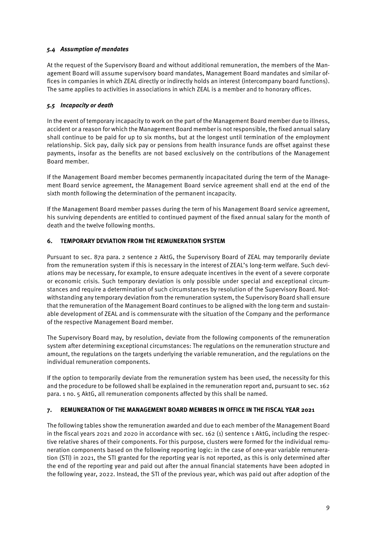# *5.4 Assumption of mandates*

At the request of the Supervisory Board and without additional remuneration, the members of the Management Board will assume supervisory board mandates, Management Board mandates and similar offices in companies in which ZEAL directly or indirectly holds an interest (intercompany board functions). The same applies to activities in associations in which ZEAL is a member and to honorary offices.

# *5.5 Incapacity or death*

In the event of temporary incapacity to work on the part of the Management Board member due to illness, accident or a reason for which the Management Board member is not responsible, the fixed annual salary shall continue to be paid for up to six months, but at the longest until termination of the employment relationship. Sick pay, daily sick pay or pensions from health insurance funds are offset against these payments, insofar as the benefits are not based exclusively on the contributions of the Management Board member.

If the Management Board member becomes permanently incapacitated during the term of the Management Board service agreement, the Management Board service agreement shall end at the end of the sixth month following the determination of the permanent incapacity.

If the Management Board member passes during the term of his Management Board service agreement, his surviving dependents are entitled to continued payment of the fixed annual salary for the month of death and the twelve following months.

# **6. TEMPORARY DEVIATION FROM THE REMUNERATION SYSTEM**

Pursuant to sec. 87a para. 2 sentence 2 AktG, the Supervisory Board of ZEAL may temporarily deviate from the remuneration system if this is necessary in the interest of ZEAL's long-term welfare. Such deviations may be necessary, for example, to ensure adequate incentives in the event of a severe corporate or economic crisis. Such temporary deviation is only possible under special and exceptional circumstances and require a determination of such circumstances by resolution of the Supervisory Board. Notwithstanding any temporary deviation from the remuneration system, the Supervisory Board shall ensure that the remuneration of the Management Board continues to be aligned with the long-term and sustainable development of ZEAL and is commensurate with the situation of the Company and the performance of the respective Management Board member.

The Supervisory Board may, by resolution, deviate from the following components of the remuneration system after determining exceptional circumstances: The regulations on the remuneration structure and amount, the regulations on the targets underlying the variable remuneration, and the regulations on the individual remuneration components.

If the option to temporarily deviate from the remuneration system has been used, the necessity for this and the procedure to be followed shall be explained in the remuneration report and, pursuant to sec. 162 para. 1 no. 5 AktG, all remuneration components affected by this shall be named.

# **7. REMUNERATION OF THE MANAGEMENT BOARD MEMBERS IN OFFICE IN THE FISCAL YEAR 2021**

The following tables show the remuneration awarded and due to each member of the Management Board in the fiscal years 2021 and 2020 in accordance with sec. 162 (1) sentence 1 AktG, including the respective relative shares of their components. For this purpose, clusters were formed for the individual remuneration components based on the following reporting logic: in the case of one-year variable remuneration (STI) in 2021, the STI granted for the reporting year is not reported, as this is only determined after the end of the reporting year and paid out after the annual financial statements have been adopted in the following year, 2022. Instead, the STI of the previous year, which was paid out after adoption of the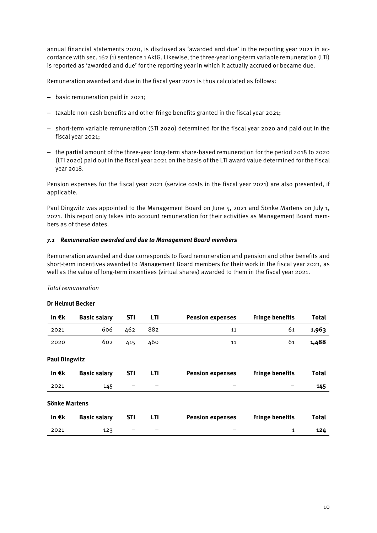annual financial statements 2020, is disclosed as 'awarded and due' in the reporting year 2021 in accordance with sec. 162 (1) sentence 1 AktG. Likewise, the three-year long-term variable remuneration (LTI) is reported as 'awarded and due' for the reporting year in which it actually accrued or became due.

Remuneration awarded and due in the fiscal year 2021 is thus calculated as follows:

- basic remuneration paid in 2021;
- taxable non-cash benefits and other fringe benefits granted in the fiscal year 2021;
- short-term variable remuneration (STI 2020) determined for the fiscal year 2020 and paid out in the fiscal year 2021;
- the partial amount of the three-year long-term share-based remuneration for the period 2018 to 2020 (LTI 2020) paid out in the fiscal year 2021 on the basis of the LTI award value determined for the fiscal year 2018.

Pension expenses for the fiscal year 2021 (service costs in the fiscal year 2021) are also presented, if applicable.

Paul Dingwitz was appointed to the Management Board on June 5, 2021 and Sönke Martens on July 1, 2021. This report only takes into account remuneration for their activities as Management Board members as of these dates.

#### *7.1 Remuneration awarded and due to Management Board members*

Remuneration awarded and due corresponds to fixed remuneration and pension and other benefits and short-term incentives awarded to Management Board members for their work in the fiscal year 2021, as well as the value of long-term incentives (virtual shares) awarded to them in the fiscal year 2021.

#### *Total remuneration*

#### **Dr Helmut Becker**

| In€k                 | <b>Basic salary</b> | <b>STI</b> | LTI        | <b>Pension expenses</b> | <b>Fringe benefits</b> | <b>Total</b> |
|----------------------|---------------------|------------|------------|-------------------------|------------------------|--------------|
| 2021                 | 606                 | 462        | 882        | 11                      | 61                     | 1,963        |
| 2020                 | 602                 | 415        | 460        | 11                      | 61                     | 1,488        |
| <b>Paul Dingwitz</b> |                     |            |            |                         |                        |              |
| In $\epsilon$ k      | <b>Basic salary</b> | <b>STI</b> | <b>LTI</b> | <b>Pension expenses</b> | <b>Fringe benefits</b> | <b>Total</b> |
| 2021                 | 145                 |            |            |                         |                        | 145          |
| Sönke Martens        |                     |            |            |                         |                        |              |
| In€k                 | <b>Basic salary</b> | <b>STI</b> | LTI        | <b>Pension expenses</b> | <b>Fringe benefits</b> | <b>Total</b> |
| 2021                 | 123                 |            |            |                         | 1                      | 124          |
|                      |                     |            |            |                         |                        |              |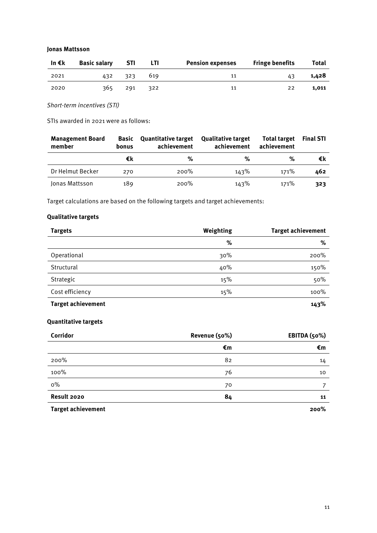#### **Jonas Mattsson**

| In €k | <b>Basic salary</b> | - STI   | <b>LTI</b>   | <b>Pension expenses</b> | <b>Fringe benefits</b> | Total |
|-------|---------------------|---------|--------------|-------------------------|------------------------|-------|
| 2021  |                     | 432 323 | 619          | 11                      | 43                     | 1,428 |
| 2020  | 365.                | 291     | $\sqrt{322}$ | 11                      | 22                     | 1.011 |

*Short-term incentives (STI)*

STIs awarded in 2021 were as follows:

| <b>Management Board</b><br>member | <b>Basic</b><br>bonus | <b>Quantitative target</b><br>achievement | <b>Qualitative target</b><br>achievement | <b>Total target</b><br>achievement | <b>Final STI</b> |
|-----------------------------------|-----------------------|-------------------------------------------|------------------------------------------|------------------------------------|------------------|
|                                   | €k                    | %                                         | %                                        | %                                  | €k               |
| Dr Helmut Becker                  | 270                   | 200%                                      | 143%                                     | 171%                               | 462              |
| Jonas Mattsson                    | 189                   | $200\%$                                   | 143%                                     | 171%                               | 323              |

Target calculations are based on the following targets and target achievements:

# **Qualitative targets**

| <b>Targets</b>            | Weighting | <b>Target achievement</b> |
|---------------------------|-----------|---------------------------|
|                           | %         | %                         |
| Operational               | 30%       | 200%                      |
| Structural                | 40%       | 150%                      |
| Strategic                 | 15%       | 50%                       |
| Cost efficiency           | 15%       | 100%                      |
| <b>Target achievement</b> |           | 143%                      |

# **Quantitative targets**

| Corridor                  | Revenue (50%) | EBITDA (50%) |
|---------------------------|---------------|--------------|
|                           | €m            | €m           |
| 200%                      | 82            | 14           |
| 100%                      | 76            | 10           |
| $0\%$                     | 70            | 7            |
| Result 2020               | 84            | 11           |
| <b>Target achievement</b> |               | 200%         |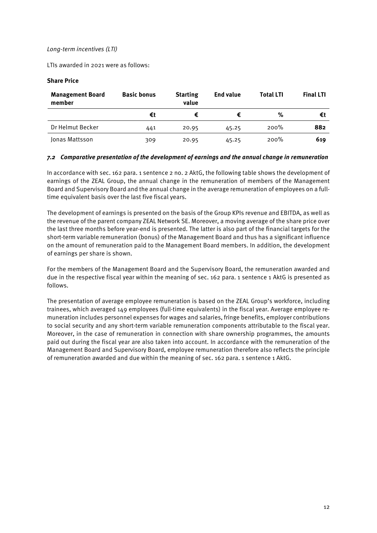#### *Long-term incentives (LTI)*

LTIs awarded in 2021 were as follows:

#### **Share Price**

| <b>Management Board</b><br>member | <b>Basic bonus</b> | <b>Starting</b><br>value | End value | <b>Total LTI</b> | <b>Final LTI</b> |
|-----------------------------------|--------------------|--------------------------|-----------|------------------|------------------|
|                                   | €t                 |                          |           | %                | €t               |
| Dr Helmut Becker                  | 441                | 20.95                    | 45.25     | 200%             | 882              |
| Jonas Mattsson                    | 309                | 20.95                    | 45.25     | 200%             | 619              |

#### *7.2 Comparative presentation of the development of earnings and the annual change in remuneration*

In accordance with sec. 162 para. 1 sentence 2 no. 2 AktG, the following table shows the development of earnings of the ZEAL Group, the annual change in the remuneration of members of the Management Board and Supervisory Board and the annual change in the average remuneration of employees on a fulltime equivalent basis over the last five fiscal years.

The development of earnings is presented on the basis of the Group KPIs revenue and EBITDA, as well as the revenue of the parent company ZEAL Network SE. Moreover, a moving average of the share price over the last three months before year-end is presented. The latter is also part of the financial targets for the short-term variable remuneration (bonus) of the Management Board and thus has a significant influence on the amount of remuneration paid to the Management Board members. In addition, the development of earnings per share is shown.

For the members of the Management Board and the Supervisory Board, the remuneration awarded and due in the respective fiscal year within the meaning of sec. 162 para. 1 sentence 1 AktG is presented as follows.

The presentation of average employee remuneration is based on the ZEAL Group's workforce, including trainees, which averaged 149 employees (full-time equivalents) in the fiscal year. Average employee remuneration includes personnel expenses for wages and salaries, fringe benefits, employer contributions to social security and any short-term variable remuneration components attributable to the fiscal year. Moreover, in the case of remuneration in connection with share ownership programmes, the amounts paid out during the fiscal year are also taken into account. In accordance with the remuneration of the Management Board and Supervisory Board, employee remuneration therefore also reflects the principle of remuneration awarded and due within the meaning of sec. 162 para. 1 sentence 1 AktG.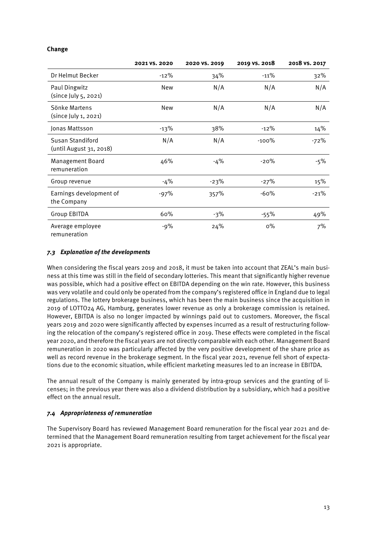## **Change**

|                                             | 2021 VS. 2020 | 2020 VS. 2019 | 2019 VS. 2018 | 2018 vs. 2017 |
|---------------------------------------------|---------------|---------------|---------------|---------------|
| Dr Helmut Becker                            | $-12\%$       | 34%           | $-11%$        | 32%           |
| Paul Dingwitz<br>(since July 5, 2021)       | New           | N/A           | N/A           | N/A           |
| Sönke Martens<br>(since July 1, 2021)       | New           | N/A           | N/A           | N/A           |
| Jonas Mattsson                              | $-13%$        | 38%           | $-12%$        | 14%           |
| Susan Standiford<br>(until August 31, 2018) | N/A           | N/A           | $-100%$       | $-72%$        |
| Management Board<br>remuneration            | 46%           | -4%           | $-20%$        | -5%           |
| Group revenue                               | -4%           | $-23%$        | $-27%$        | 15%           |
| Earnings development of<br>the Company      | $-97%$        | 357%          | $-60%$        | $-21%$        |
| <b>Group EBITDA</b>                         | 60%           | -3%           | $-55\%$       | 49%           |
| Average employee<br>remuneration            | -9%           | 24%           | $0\%$         | 7%            |

## *7.3 Explanation of the developments*

When considering the fiscal years 2019 and 2018, it must be taken into account that ZEAL's main business at this time was still in the field of secondary lotteries. This meant that significantly higher revenue was possible, which had a positive effect on EBITDA depending on the win rate. However, this business was very volatile and could only be operated from the company's registered office in England due to legal regulations. The lottery brokerage business, which has been the main business since the acquisition in 2019 of LOTTO24 AG, Hamburg, generates lower revenue as only a brokerage commission is retained. However, EBITDA is also no longer impacted by winnings paid out to customers. Moreover, the fiscal years 2019 and 2020 were significantly affected by expenses incurred as a result of restructuring following the relocation of the company's registered office in 2019. These effects were completed in the fiscal year 2020, and therefore the fiscal years are not directly comparable with each other. Management Board remuneration in 2020 was particularly affected by the very positive development of the share price as well as record revenue in the brokerage segment. In the fiscal year 2021, revenue fell short of expectations due to the economic situation, while efficient marketing measures led to an increase in EBITDA.

The annual result of the Company is mainly generated by intra-group services and the granting of licenses; in the previous year there was also a dividend distribution by a subsidiary, which had a positive effect on the annual result.

#### *7.4 Appropriateness of remuneration*

The Supervisory Board has reviewed Management Board remuneration for the fiscal year 2021 and determined that the Management Board remuneration resulting from target achievement for the fiscal year 2021 is appropriate.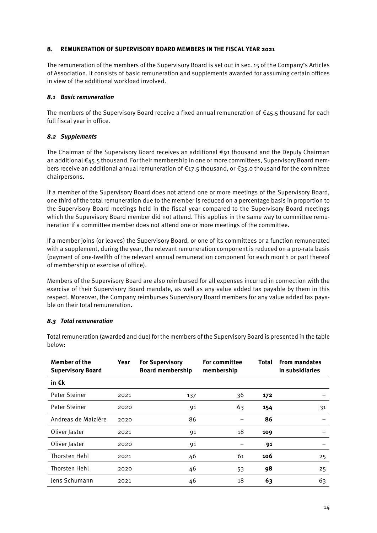## **8. REMUNERATION OF SUPERVISORY BOARD MEMBERS IN THE FISCAL YEAR 2021**

The remuneration of the members of the Supervisory Board is set out in sec. 15 of the Company's Articles of Association. It consists of basic remuneration and supplements awarded for assuming certain offices in view of the additional workload involved.

#### *8.1 Basic remuneration*

The members of the Supervisory Board receive a fixed annual remuneration of  $\epsilon$ 45.5 thousand for each full fiscal year in office.

#### *8.2 Supplements*

The Chairman of the Supervisory Board receives an additional €91 thousand and the Deputy Chairman an additional €45.5 thousand. For their membership in one or more committees, Supervisory Board members receive an additional annual remuneration of €17.5 thousand, or €35.0 thousand for the committee chairpersons.

If a member of the Supervisory Board does not attend one or more meetings of the Supervisory Board, one third of the total remuneration due to the member is reduced on a percentage basis in proportion to the Supervisory Board meetings held in the fiscal year compared to the Supervisory Board meetings which the Supervisory Board member did not attend. This applies in the same way to committee remuneration if a committee member does not attend one or more meetings of the committee.

If a member joins (or leaves) the Supervisory Board, or one of its committees or a function remunerated with a supplement, during the year, the relevant remuneration component is reduced on a pro-rata basis (payment of one-twelfth of the relevant annual remuneration component for each month or part thereof of membership or exercise of office).

Members of the Supervisory Board are also reimbursed for all expenses incurred in connection with the exercise of their Supervisory Board mandate, as well as any value added tax payable by them in this respect. Moreover, the Company reimburses Supervisory Board members for any value added tax payable on their total remuneration.

#### *8.3 Total remuneration*

| Member of the<br><b>Supervisory Board</b> | Year | <b>For Supervisory</b><br><b>Board membership</b> | <b>For committee</b><br><b>Total</b><br>membership |     | <b>From mandates</b><br>in subsidiaries |
|-------------------------------------------|------|---------------------------------------------------|----------------------------------------------------|-----|-----------------------------------------|
| in €k                                     |      |                                                   |                                                    |     |                                         |
| Peter Steiner                             | 2021 | 137                                               | 36                                                 | 172 |                                         |
| Peter Steiner                             | 2020 | 91                                                | 63                                                 | 154 | 31                                      |
| Andreas de Maizière                       | 2020 | 86                                                |                                                    | 86  |                                         |
| Oliver Jaster                             | 2021 | 91                                                | 18                                                 | 109 |                                         |
| Oliver Jaster                             | 2020 | 91                                                |                                                    | 91  |                                         |
| Thorsten Hehl                             | 2021 | 46                                                | 61                                                 | 106 | 25                                      |
| Thorsten Hehl                             | 2020 | 46                                                | 53                                                 | 98  | 25                                      |
| Jens Schumann                             | 2021 | 46                                                | 18                                                 | 63  | 63                                      |

Total remuneration (awarded and due) for the members of the Supervisory Board is presented in the table below: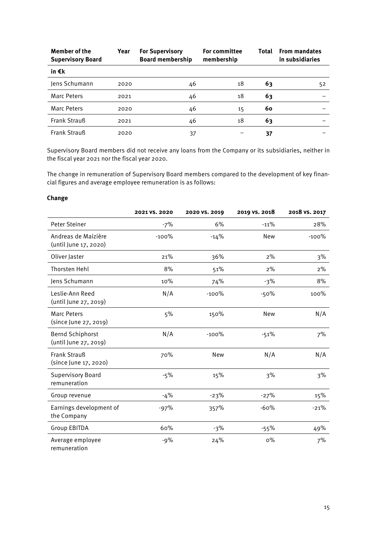| <b>Member of the</b><br><b>Supervisory Board</b> | Year | <b>For Supervisory</b><br><b>Board membership</b> | <b>For committee</b><br>membership | Total | <b>From mandates</b><br>in subsidiaries |
|--------------------------------------------------|------|---------------------------------------------------|------------------------------------|-------|-----------------------------------------|
| in €k                                            |      |                                                   |                                    |       |                                         |
| Jens Schumann                                    | 2020 | 46                                                | 18                                 | 63    | 52                                      |
| <b>Marc Peters</b>                               | 2021 | 46                                                | 18                                 | 63    |                                         |
| <b>Marc Peters</b>                               | 2020 | 46                                                | 15                                 | 60    |                                         |
| Frank Strauß                                     | 2021 | 46                                                | 18                                 | 63    |                                         |
| <b>Frank Strauß</b>                              | 2020 | 37                                                |                                    | 37    |                                         |

Supervisory Board members did not receive any loans from the Company or its subsidiaries, neither in the fiscal year 2021 nor the fiscal year 2020.

The change in remuneration of Supervisory Board members compared to the development of key financial figures and average employee remuneration is as follows:

## **Change**

|                                              | 2021 VS. 2020 | 2020 VS. 2019 | 2019 VS. 2018 | 2018 vs. 2017 |
|----------------------------------------------|---------------|---------------|---------------|---------------|
| Peter Steiner                                | $-7%$         | 6%            | $-11%$        | 28%           |
| Andreas de Maizière<br>(until June 17, 2020) | $-100%$       | $-14%$        | New           | $-100\%$      |
| Oliver Jaster                                | 21%           | 36%           | $2\%$         | 3%            |
| Thorsten Hehl                                | 8%            | 51%           | 2%            | $2\%$         |
| Jens Schumann                                | 10%           | 74%           | $-3%$         | 8%            |
| Leslie-Ann Reed<br>(until June 27, 2019)     | N/A           | $-100%$       | $-50%$        | 100%          |
| <b>Marc Peters</b><br>(since June 27, 2019)  | 5%            | 150%          | New           | N/A           |
| Bernd Schiphorst<br>(until June 27, 2019)    | N/A           | $-100%$       | $-51%$        | 7%            |
| <b>Frank Strauß</b><br>(since June 17, 2020) | 70%           | New           | N/A           | N/A           |
| <b>Supervisory Board</b><br>remuneration     | $-5%$         | 15%           | 3%            | 3%            |
| Group revenue                                | $-4%$         | $-23%$        | $-27%$        | 15%           |
| Earnings development of<br>the Company       | $-97%$        | 357%          | $-60%$        | $-21%$        |
| <b>Group EBITDA</b>                          | 60%           | $-3%$         | $-55%$        | 49%           |
| Average employee<br>remuneration             | $-9%$         | 24%           | $0\%$         | 7%            |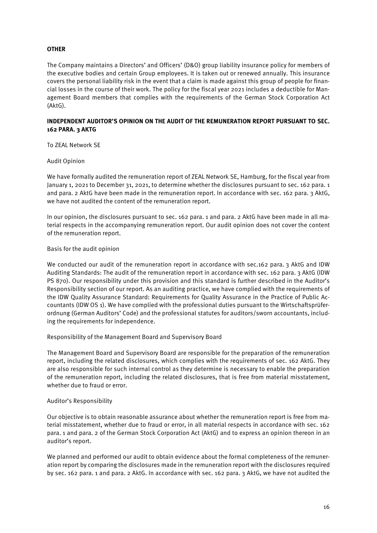## **OTHER**

The Company maintains a Directors' and Officers' (D&O) group liability insurance policy for members of the executive bodies and certain Group employees. It is taken out or renewed annually. This insurance covers the personal liability risk in the event that a claim is made against this group of people for financial losses in the course of their work. The policy for the fiscal year 2021 includes a deductible for Management Board members that complies with the requirements of the German Stock Corporation Act (AktG).

## **INDEPENDENT AUDITOR'S OPINION ON THE AUDIT OF THE REMUNERATION REPORT PURSUANT TO SEC. 162 PARA. 3 AKTG**

To ZEAL Network SE

Audit Opinion

We have formally audited the remuneration report of ZEAL Network SE, Hamburg, for the fiscal year from January 1, 2021 to December 31, 2021, to determine whether the disclosures pursuant to sec. 162 para. 1 and para. 2 AktG have been made in the remuneration report. In accordance with sec. 162 para. 3 AktG, we have not audited the content of the remuneration report.

In our opinion, the disclosures pursuant to sec. 162 para. 1 and para. 2 AktG have been made in all material respects in the accompanying remuneration report. Our audit opinion does not cover the content of the remuneration report.

#### Basis for the audit opinion

We conducted our audit of the remuneration report in accordance with sec.162 para. 3 AktG and IDW Auditing Standards: The audit of the remuneration report in accordance with sec. 162 para. 3 AktG (IDW PS 870). Our responsibility under this provision and this standard is further described in the Auditor's Responsibility section of our report. As an auditing practice, we have complied with the requirements of the IDW Quality Assurance Standard: Requirements for Quality Assurance in the Practice of Public Accountants (IDW OS 1). We have complied with the professional duties pursuant to the Wirtschaftsprüferordnung (German Auditors' Code) and the professional statutes for auditors/sworn accountants, including the requirements for independence.

Responsibility of the Management Board and Supervisory Board

The Management Board and Supervisory Board are responsible for the preparation of the remuneration report, including the related disclosures, which complies with the requirements of sec. 162 AktG. They are also responsible for such internal control as they determine is necessary to enable the preparation of the remuneration report, including the related disclosures, that is free from material misstatement, whether due to fraud or error.

#### Auditor's Responsibility

Our objective is to obtain reasonable assurance about whether the remuneration report is free from material misstatement, whether due to fraud or error, in all material respects in accordance with sec. 162 para. 1 and para. 2 of the German Stock Corporation Act (AktG) and to express an opinion thereon in an auditor's report.

We planned and performed our audit to obtain evidence about the formal completeness of the remuneration report by comparing the disclosures made in the remuneration report with the disclosures required by sec. 162 para. 1 and para. 2 AktG. In accordance with sec. 162 para. 3 AktG, we have not audited the